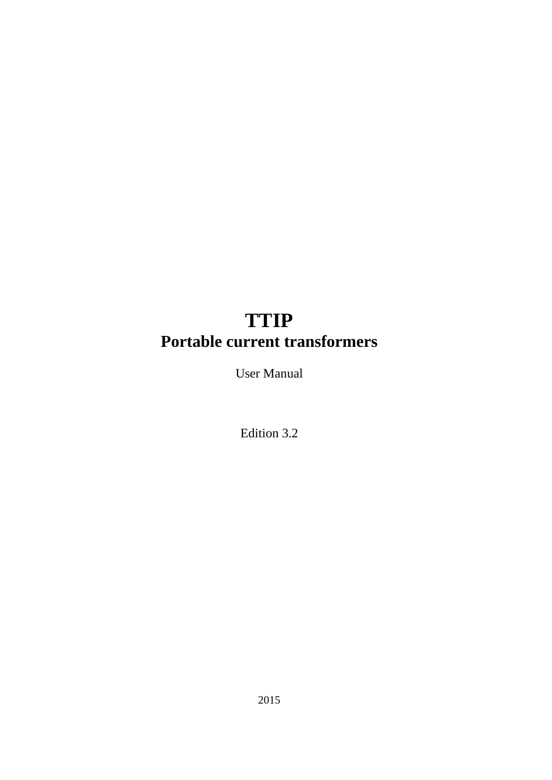# **TTIP Portable current transformers**

User Manual

Edition 3.2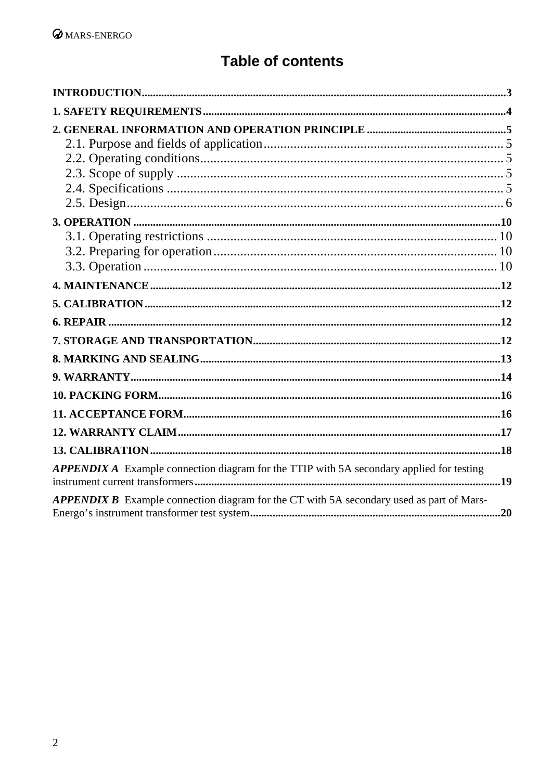# **Table of contents**

| <b>APPENDIX A</b> Example connection diagram for the TTIP with 5A secondary applied for testing |  |
|-------------------------------------------------------------------------------------------------|--|
| <b>APPENDIX B</b> Example connection diagram for the CT with 5A secondary used as part of Mars- |  |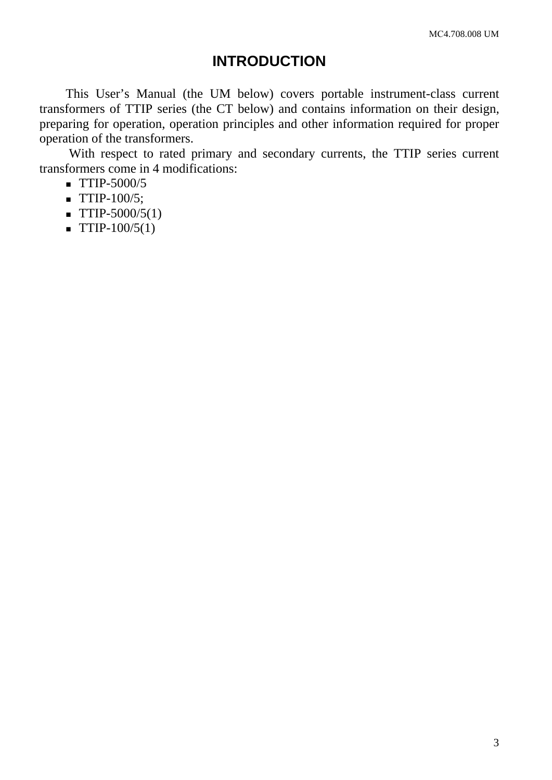### **INTRODUCTION**

<span id="page-2-0"></span>This User's Manual (the UM below) covers portable instrument-class current transformers of TTIP series (the CT below) and contains information on their design, preparing for operation, operation principles and other information required for proper operation of the transformers.

 With respect to rated primary and secondary currents, the TTIP series current transformers come in 4 modifications:

- $\blacksquare$  TTIP-5000/5
- $\blacksquare$  TTIP-100/5;
- $\blacksquare$  TTIP-5000/5(1)
- $\blacksquare$  TTIP-100/5(1)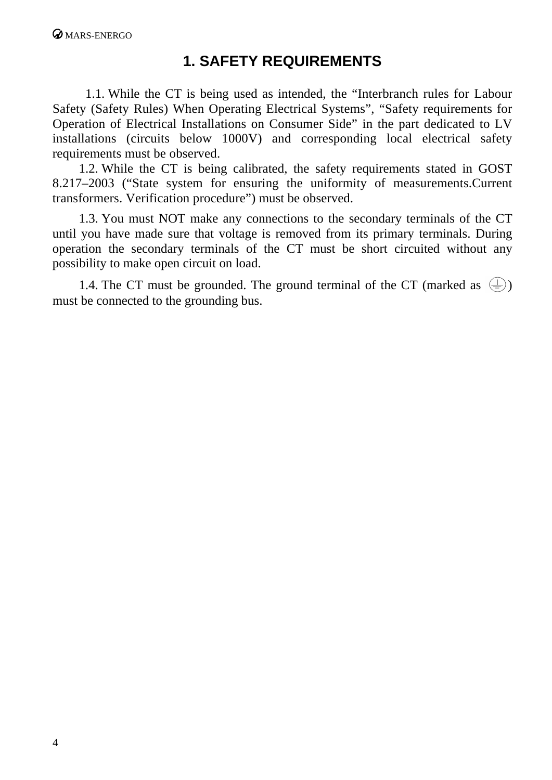## **1. SAFETY REQUIREMENTS**

<span id="page-3-0"></span>1.1. While the CT is being used as intended, the "Interbranch rules for Labour Safety (Safety Rules) When Operating Electrical Systems", "Safety requirements for Operation of Electrical Installations on Consumer Side" in the part dedicated to LV installations (circuits below 1000V) and corresponding local electrical safety requirements must be observed.

1.2. While the CT is being calibrated, the safety requirements stated in GOST 8.217–2003 ("State system for ensuring the uniformity of measurements.Current transformers. Verification procedure") must be observed.

1.3. You must NOT make any connections to the secondary terminals of the CT until you have made sure that voltage is removed from its primary terminals. During operation the secondary terminals of the CT must be short circuited without any possibility to make open circuit on load.

1.4. The CT must be grounded. The ground terminal of the CT (marked as  $(\equiv)$ ) must be connected to the grounding bus.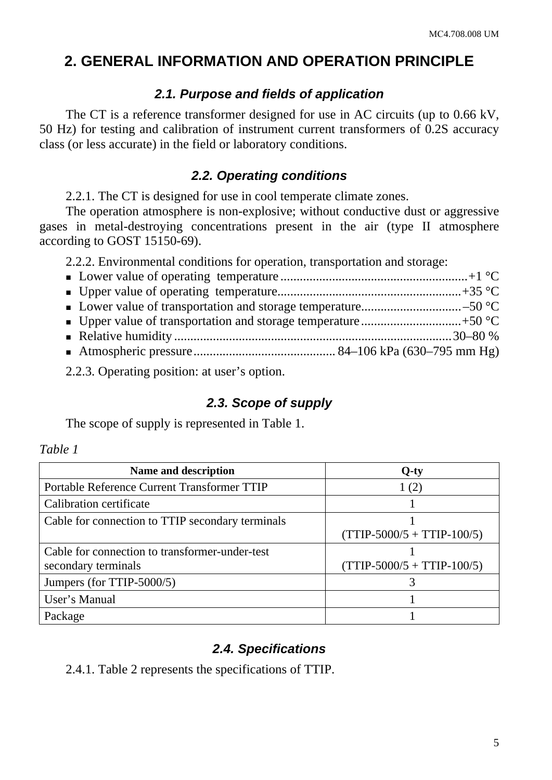## <span id="page-4-0"></span>**2. GENERAL INFORMATION AND OPERATION PRINCIPLE**

#### *2.1. Purpose and fields of application*

The CT is a reference transformer designed for use in AC circuits (up to 0.66 kV, 50 Hz) for testing and calibration of instrument current transformers of 0.2S accuracy class (or less accurate) in the field or laboratory conditions.

#### *2.2. Operating conditions*

2.2.1. The CT is designed for use in cool temperate climate zones.

The operation atmosphere is non-explosive; without conductive dust or aggressive gases in metal-destroying concentrations present in the air (type II atmosphere according to GOST 15150-69).

2.2.2. Environmental conditions for operation, transportation and storage:

2.2.3. Operating position: at user's option.

### *2.3. Scope of supply*

The scope of supply is represented in Table 1.

#### *Table 1*

| Name and description                                                  | $Q$ -ty                      |
|-----------------------------------------------------------------------|------------------------------|
| Portable Reference Current Transformer TTIP                           | 1(2)                         |
| Calibration certificate                                               |                              |
| Cable for connection to TTIP secondary terminals                      | $(TTIP-5000/5 + TTIP-100/5)$ |
| Cable for connection to transformer-under-test<br>secondary terminals | $(TTIP-5000/5 + TTIP-100/5)$ |
| Jumpers (for TTIP-5000/5)                                             |                              |
| User's Manual                                                         |                              |
| Package                                                               |                              |

#### *2.4. Specifications*

2.4.1. Table 2 represents the specifications of TTIP.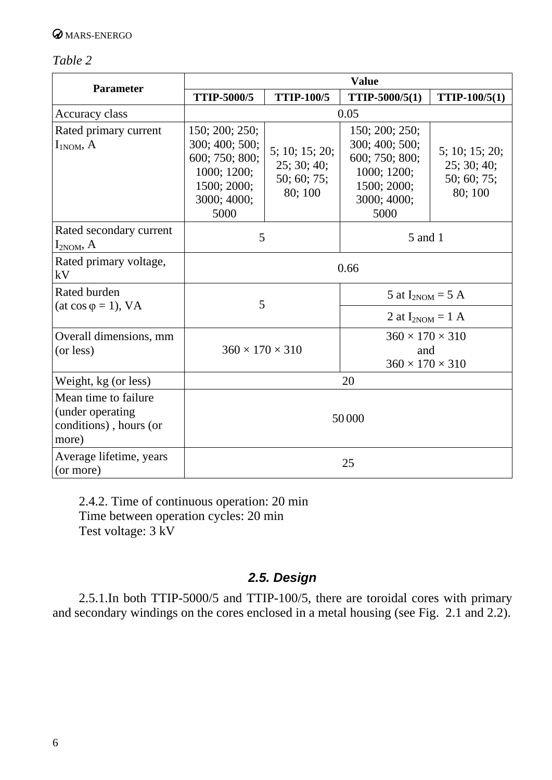#### <span id="page-5-0"></span>*Table 2*

| <b>Parameter</b>                                                             | <b>Value</b>                                                                                            |                                                        |                                                                                                         |                                                         |
|------------------------------------------------------------------------------|---------------------------------------------------------------------------------------------------------|--------------------------------------------------------|---------------------------------------------------------------------------------------------------------|---------------------------------------------------------|
|                                                                              | <b>TTIP-5000/5</b>                                                                                      | <b>TTIP-100/5</b>                                      | TTIP-5000/5(1)                                                                                          | TTIP-100/5(1)                                           |
| Accuracy class                                                               | 0.05                                                                                                    |                                                        |                                                                                                         |                                                         |
| Rated primary current<br>$I_{1NOM}$ , A                                      | 150; 200; 250;<br>300; 400; 500;<br>600; 750; 800;<br>1000; 1200;<br>1500; 2000;<br>3000; 4000;<br>5000 | 5; 10; 15; 20;<br>25; 30; 40;<br>50; 60; 75;<br>80;100 | 150; 200; 250;<br>300; 400; 500;<br>600; 750; 800;<br>1000; 1200;<br>1500; 2000;<br>3000; 4000;<br>5000 | 5; 10; 15; 20;<br>25; 30; 40;<br>50; 60; 75;<br>80; 100 |
| Rated secondary current<br>$I_{2NOM}$ , A                                    | 5<br>5 and 1                                                                                            |                                                        |                                                                                                         |                                                         |
| Rated primary voltage,<br>kV                                                 | 0.66                                                                                                    |                                                        |                                                                                                         |                                                         |
| Rated burden                                                                 | 5                                                                                                       |                                                        | 5 at $I_{2NOM} = 5$ A                                                                                   |                                                         |
| (at $\cos \varphi = 1$ ), VA                                                 |                                                                                                         |                                                        | 2 at $I_{2NOM} = 1$ A                                                                                   |                                                         |
| Overall dimensions, mm<br>(or less)                                          | $360 \times 170 \times 310$                                                                             |                                                        | $360 \times 170 \times 310$<br>and<br>$360 \times 170 \times 310$                                       |                                                         |
| Weight, kg (or less)                                                         | 20                                                                                                      |                                                        |                                                                                                         |                                                         |
| Mean time to failure<br>(under operating)<br>conditions), hours (or<br>more) | 50000                                                                                                   |                                                        |                                                                                                         |                                                         |
| Average lifetime, years<br>(or more)                                         | 25                                                                                                      |                                                        |                                                                                                         |                                                         |

2.4.2. Time of continuous operation: 20 min Time between operation cycles: 20 min Test voltage: 3 kV

### *2.5. Design*

2.5.1.In both TTIP-5000/5 and TTIP-100/5, there are toroidal cores with primary and secondary windings on the cores enclosed in a metal housing (see Fig. 2.1 and 2.2).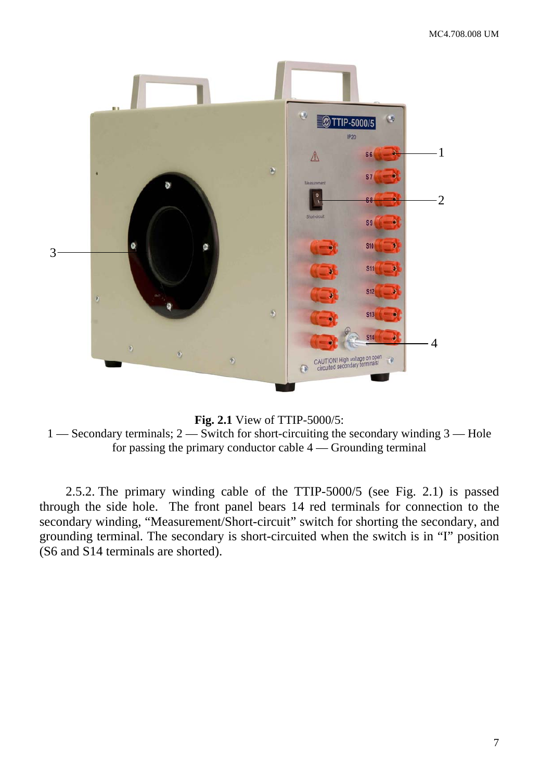



1 — Secondary terminals; 2 — Switch for short-circuiting the secondary winding 3 — Hole for passing the primary conductor cable 4 — Grounding terminal

2.5.2. The primary winding cable of the TTIP-5000/5 (see Fig. 2.1) is passed through the side hole. The front panel bears 14 red terminals for connection to the secondary winding, "Measurement/Short-circuit" switch for shorting the secondary, and grounding terminal. The secondary is short-circuited when the switch is in "I" position (S6 and S14 terminals are shorted).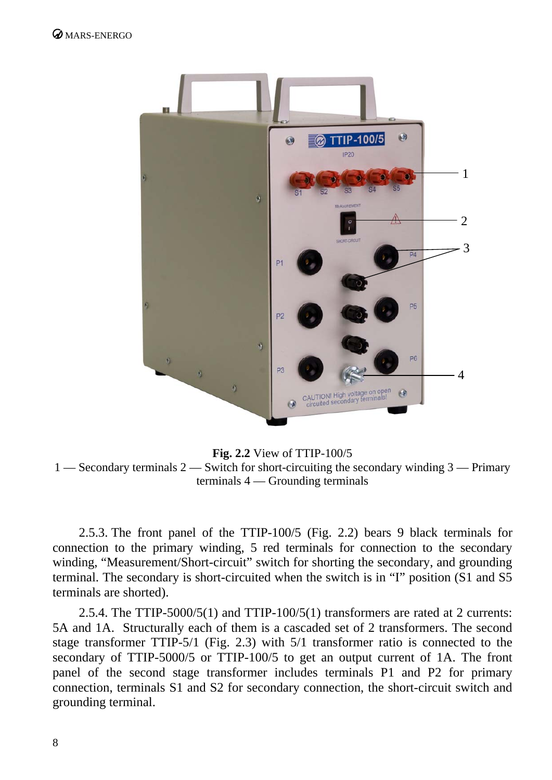

**Fig. 2.2** View of TTIP-100/5 1 — Secondary terminals 2 — Switch for short-circuiting the secondary winding 3 — Primary terminals 4 — Grounding terminals

2.5.3. The front panel of the TTIP-100/5 (Fig. 2.2) bears 9 black terminals for connection to the primary winding, 5 red terminals for connection to the secondary winding, "Measurement/Short-circuit" switch for shorting the secondary, and grounding terminal. The secondary is short-circuited when the switch is in "I" position (S1 and S5 terminals are shorted).

2.5.4. The TTIP-5000/5(1) and TTIP-100/5(1) transformers are rated at 2 currents: 5A and 1A. Structurally each of them is a cascaded set of 2 transformers. The second stage transformer TTIP-5/1 (Fig. 2.3) with 5/1 transformer ratio is connected to the secondary of TTIP-5000/5 or TTIP-100/5 to get an output current of 1A. The front panel of the second stage transformer includes terminals P1 and P2 for primary connection, terminals S1 and S2 for secondary connection, the short-circuit switch and grounding terminal.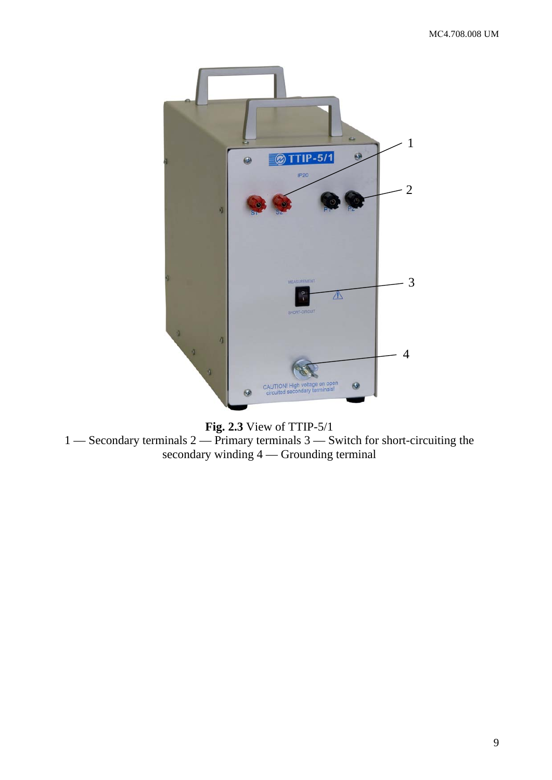

**Fig. 2.3** View of TTIP-5/1 1 — Secondary terminals 2 — Primary terminals 3 — Switch for short-circuiting the secondary winding 4 — Grounding terminal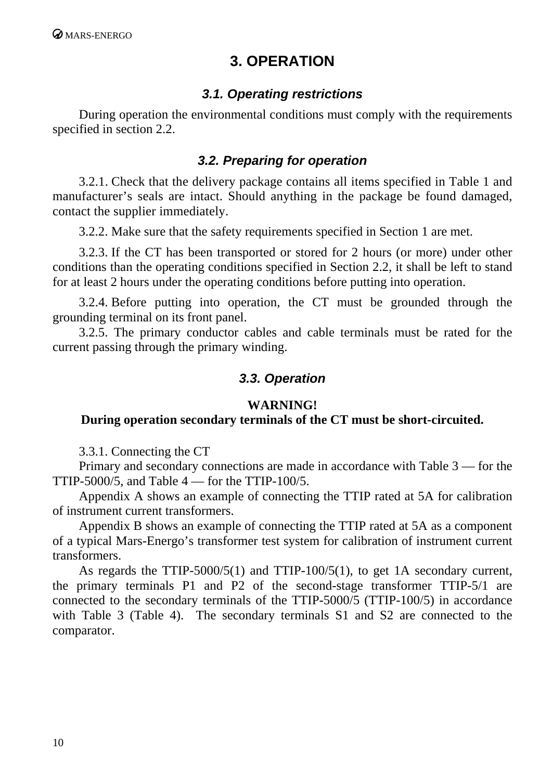## **3. OPERATION**

#### *3.1. Operating restrictions*

<span id="page-9-0"></span>During operation the environmental conditions must comply with the requirements specified in section 2.2.

#### *3.2. Preparing for operation*

3.2.1. Check that the delivery package contains all items specified in Table 1 and manufacturer's seals are intact. Should anything in the package be found damaged, contact the supplier immediately.

3.2.2. Make sure that the safety requirements specified in Section 1 are met.

3.2.3. If the CT has been transported or stored for 2 hours (or more) under other conditions than the operating conditions specified in Section 2.2, it shall be left to stand for at least 2 hours under the operating conditions before putting into operation.

3.2.4. Before putting into operation, the CT must be grounded through the grounding terminal on its front panel.

3.2.5. The primary conductor cables and cable terminals must be rated for the current passing through the primary winding.

#### *3.3. Operation*

#### **WARNING!**

#### **During operation secondary terminals of the CT must be short-circuited.**

3.3.1. Connecting the CT

Primary and secondary connections are made in accordance with Table 3 — for the TTIP-5000/5, and Table  $4$  — for the TTIP-100/5.

Appendix A shows an example of connecting the TTIP rated at 5A for calibration of instrument current transformers.

Appendix B shows an example of connecting the TTIP rated at 5A as a component of a typical Mars-Energo's transformer test system for calibration of instrument current transformers.

As regards the TTIP-5000/5(1) and TTIP-100/5(1), to get 1A secondary current, the primary terminals P1 and P2 of the second-stage transformer TTIP-5/1 are connected to the secondary terminals of the TTIP-5000/5 (TTIP-100/5) in accordance with Table 3 (Table 4). The secondary terminals S1 and S2 are connected to the comparator.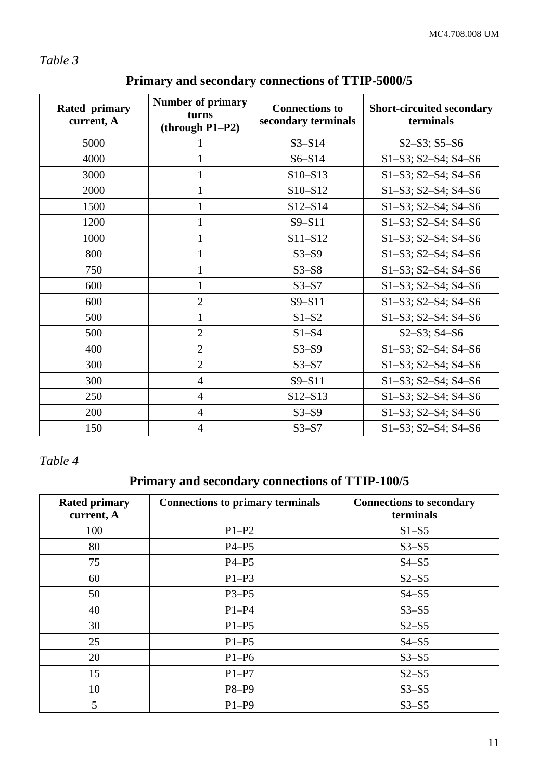#### *Table 3*

| Rated primary<br>current, A | <b>Number of primary</b><br>turns<br>$(through P1-P2)$ | <b>Connections to</b><br>secondary terminals | <b>Short-circuited secondary</b><br>terminals |
|-----------------------------|--------------------------------------------------------|----------------------------------------------|-----------------------------------------------|
| 5000                        |                                                        | $S3 - S14$                                   | $S2-S3; S5-S6$                                |
| 4000                        | $\mathbf{1}$                                           | $S6 - S14$                                   | $S1-S3$ ; $S2-S4$ ; $S4-S6$                   |
| 3000                        | 1                                                      | $S10 - S13$                                  | $S1-S3$ ; $S2-S4$ ; $S4-S6$                   |
| 2000                        | 1                                                      | S10-S12                                      | $S1-S3$ ; $S2-S4$ ; $S4-S6$                   |
| 1500                        | $\mathbf 1$                                            | $S12 - S14$                                  | S1-S3; S2-S4; S4-S6                           |
| 1200                        | $\mathbf{1}$                                           | $S9 - S11$                                   | $S1-S3; S2-S4; S4-S6$                         |
| 1000                        | 1                                                      | S11-S12                                      | S1-S3; S2-S4; S4-S6                           |
| 800                         | 1                                                      | $S3-S9$                                      | S1-S3; S2-S4; S4-S6                           |
| 750                         | $\mathbf{1}$                                           | $S3 - S8$                                    | $S1-S3; S2-S4; S4-S6$                         |
| 600                         | $\mathbf{1}$                                           | $S3-S7$                                      | S1-S3; S2-S4; S4-S6                           |
| 600                         | $\mathbf{2}$                                           | $S9 - S11$                                   | $S1-S3$ ; $S2-S4$ ; $S4-S6$                   |
| 500                         | $\mathbf{1}$                                           | $S1-S2$                                      | S1-S3; S2-S4; S4-S6                           |
| 500                         | $\overline{2}$                                         | $S1-S4$                                      | $S2-S3; S4-S6$                                |
| 400                         | $\overline{2}$                                         | $S3-S9$                                      | $S1-S3$ ; $S2-S4$ ; $S4-S6$                   |
| 300                         | $\overline{2}$                                         | $S3-S7$                                      | $S1-S3$ ; $S2-S4$ ; $S4-S6$                   |
| 300                         | $\overline{4}$                                         | $S9 - S11$                                   | S1-S3; S2-S4; S4-S6                           |
| 250                         | $\overline{4}$                                         | $S12 - S13$                                  | $S1-S3; S2-S4; S4-S6$                         |
| 200                         | $\overline{4}$                                         | $S3-S9$                                      | S1-S3; S2-S4; S4-S6                           |
| 150                         | $\overline{4}$                                         | $S3-S7$                                      | S1-S3; S2-S4; S4-S6                           |

## **Primary and secondary connections of TTIP-5000/5**

#### *Table 4*

### **Primary and secondary connections of TTIP-100/5**

| <b>Rated primary</b><br>current, A | <b>Connections to primary terminals</b> | <b>Connections to secondary</b><br>terminals |
|------------------------------------|-----------------------------------------|----------------------------------------------|
| 100                                | $P1-P2$                                 | $S1 - S5$                                    |
| 80                                 | $P4-P5$                                 | $S3 - S5$                                    |
| 75                                 | $P4-P5$                                 | $S4-S5$                                      |
| 60                                 | $P1-P3$                                 | $S2-S5$                                      |
| 50                                 | $P3-P5$                                 | $S4-S5$                                      |
| 40                                 | $P1-P4$                                 | $S3 - S5$                                    |
| 30                                 | $P1-P5$                                 | $S2-S5$                                      |
| 25                                 | $P1-P5$                                 | $S4-S5$                                      |
| 20                                 | $P1-P6$                                 | $S3 - S5$                                    |
| 15                                 | $P1-P7$                                 | $S2-S5$                                      |
| 10                                 | P8-P9                                   | $S3 - S5$                                    |
| 5                                  | $P1-P9$                                 | $S3 - S5$                                    |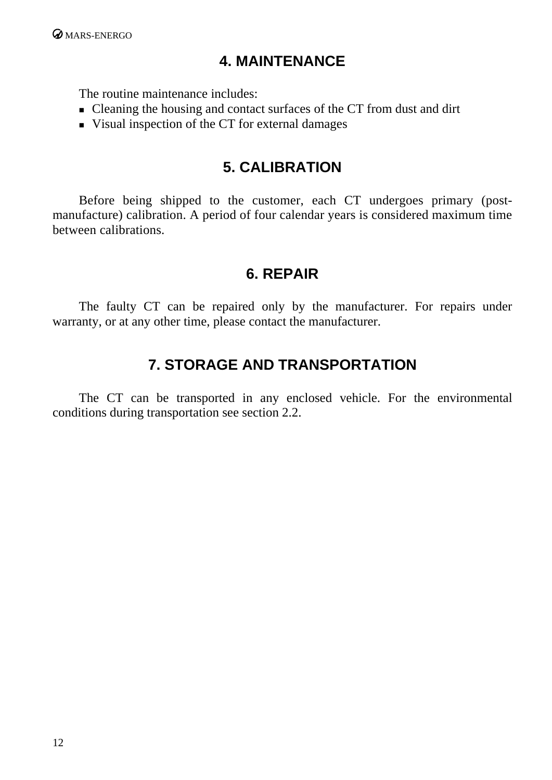## **4. MAINTENANCE**

<span id="page-11-0"></span>The routine maintenance includes:

- Cleaning the housing and contact surfaces of the CT from dust and dirt
- Visual inspection of the CT for external damages

## **5. CALIBRATION**

Before being shipped to the customer, each CT undergoes primary (postmanufacture) calibration. A period of four calendar years is considered maximum time between calibrations.

### **6. REPAIR**

The faulty CT can be repaired only by the manufacturer. For repairs under warranty, or at any other time, please contact the manufacturer.

## **7. STORAGE AND TRANSPORTATION**

The CT can be transported in any enclosed vehicle. For the environmental conditions during transportation see section 2.2.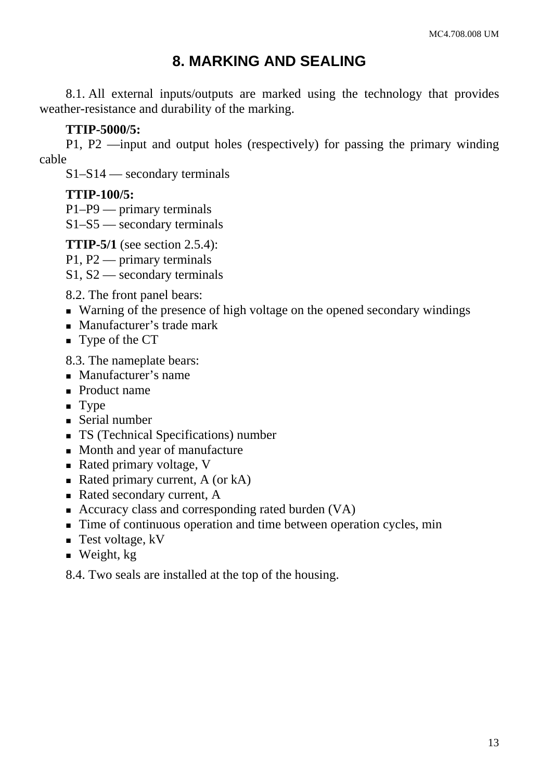## **8. MARKING AND SEALING**

<span id="page-12-0"></span>8.1. All external inputs/outputs are marked using the technology that provides weather-resistance and durability of the marking.

#### **TTIP-5000/5:**

P1, P2 —input and output holes (respectively) for passing the primary winding cable

S1–S14 — secondary terminals

#### **TTIP-100/5:**

P1–P9 — primary terminals

S1–S5 — secondary terminals

**TTIP-5/1** (see section 2.5.4):

P1, P2 — primary terminals

S1, S2 — secondary terminals

8.2. The front panel bears:

- Warning of the presence of high voltage on the opened secondary windings
- **Manufacturer's trade mark**
- **Type of the CT**

8.3. The nameplate bears:

- Manufacturer's name
- Product name
- **Type**
- Serial number
- **TS** (Technical Specifications) number
- Month and year of manufacture
- Rated primary voltage, V
- Rated primary current,  $A$  (or  $kA$ )
- Rated secondary current, A
- Accuracy class and corresponding rated burden (VA)
- Time of continuous operation and time between operation cycles, min
- $\blacksquare$  Test voltage, kV
- $\blacksquare$  Weight, kg

8.4. Two seals are installed at the top of the housing.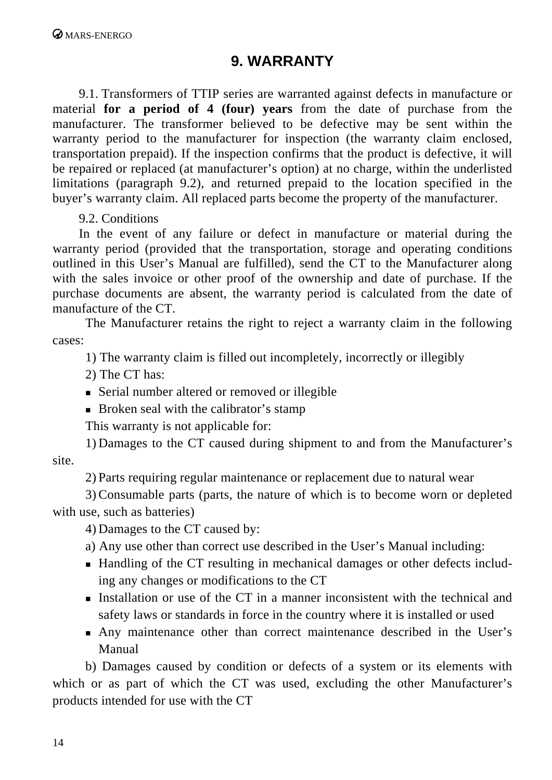### **9. WARRANTY**

<span id="page-13-0"></span>9.1. Transformers of TTIP series are warranted against defects in manufacture or material **for a period of 4 (four) years** from the date of purchase from the manufacturer. The transformer believed to be defective may be sent within the warranty period to the manufacturer for inspection (the warranty claim enclosed, transportation prepaid). If the inspection confirms that the product is defective, it will be repaired or replaced (at manufacturer's option) at no charge, within the underlisted limitations (paragraph 9.2), and returned prepaid to the location specified in the buyer's warranty claim. All replaced parts become the property of the manufacturer.

9.2. Conditions

In the event of any failure or defect in manufacture or material during the warranty period (provided that the transportation, storage and operating conditions outlined in this User's Manual are fulfilled), send the CT to the Manufacturer along with the sales invoice or other proof of the ownership and date of purchase. If the purchase documents are absent, the warranty period is calculated from the date of manufacture of the CT.

The Manufacturer retains the right to reject a warranty claim in the following cases:

1) The warranty claim is filled out incompletely, incorrectly or illegibly

- 2) The CT has:
- Serial number altered or removed or illegible
- **Broken seal with the calibrator's stamp**

This warranty is not applicable for:

1) Damages to the CT caused during shipment to and from the Manufacturer's site.

2) Parts requiring regular maintenance or replacement due to natural wear

3) Consumable parts (parts, the nature of which is to become worn or depleted with use, such as batteries)

4) Damages to the CT caused by:

a) Any use other than correct use described in the User's Manual including:

- Handling of the CT resulting in mechanical damages or other defects including any changes or modifications to the CT
- **Installation or use of the CT in a manner inconsistent with the technical and** safety laws or standards in force in the country where it is installed or used
- Any maintenance other than correct maintenance described in the User's Manual

b) Damages caused by condition or defects of a system or its elements with which or as part of which the CT was used, excluding the other Manufacturer's products intended for use with the CT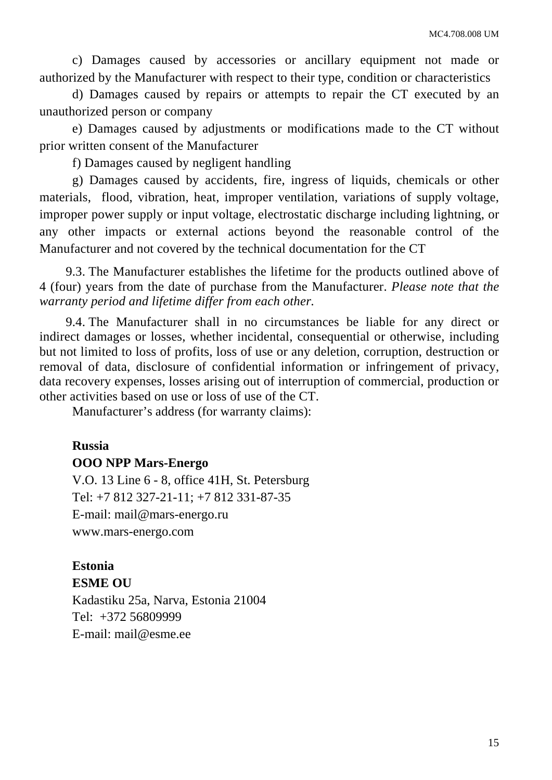c) Damages caused by accessories or ancillary equipment not made or authorized by the Manufacturer with respect to their type, condition or characteristics

d) Damages caused by repairs or attempts to repair the CT executed by an unauthorized person or company

e) Damages caused by adjustments or modifications made to the CT without prior written consent of the Manufacturer

f) Damages caused by negligent handling

g) Damages caused by accidents, fire, ingress of liquids, chemicals or other materials, flood, vibration, heat, improper ventilation, variations of supply voltage, improper power supply or input voltage, electrostatic discharge including lightning, or any other impacts or external actions beyond the reasonable control of the Manufacturer and not covered by the technical documentation for the CT

9.3. The Manufacturer establishes the lifetime for the products outlined above of 4 (four) years from the date of purchase from the Manufacturer. *Please note that the warranty period and lifetime differ from each other.* 

9.4. The Manufacturer shall in no circumstances be liable for any direct or indirect damages or losses, whether incidental, consequential or otherwise, including but not limited to loss of profits, loss of use or any deletion, corruption, destruction or removal of data, disclosure of confidential information or infringement of privacy, data recovery expenses, losses arising out of interruption of commercial, production or other activities based on use or loss of use of the CT.

Manufacturer's address (for warranty claims):

# **Russia**

**OOO NPP Mars-Energo**  V.O. 13 Line 6 - 8, office 41H, St. Petersburg Tel: +7 812 327-21-11; +7 812 331-87-35

E-mail: mail@mars-energo.ru

www.mars-energo.com

### **Estonia**

**ESME OU**  Kadastiku 25a, Narva, Estonia 21004 Tel: +372 56809999 E-mail: mail@esme.ee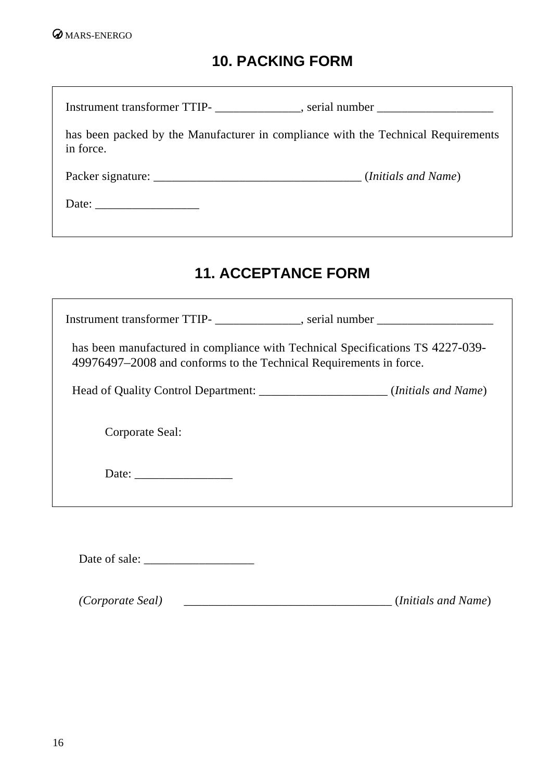## **10. PACKING FORM**

 $\overline{\phantom{a}}$ 

<span id="page-15-0"></span>

| Instrument transformer TTIP-<br>example 2014, serial number<br>2022, serial number<br>2022, serial number<br>2023, serial number<br>2023, serial number<br>2023, serial number<br>2023, serial number<br>2023, serial number<br>2023, serial num                                                                                                                                                                                                  |  |
|---------------------------------------------------------------------------------------------------------------------------------------------------------------------------------------------------------------------------------------------------------------------------------------------------------------------------------------------------------------------------------------------------------------------------------------------------|--|
| has been packed by the Manufacturer in compliance with the Technical Requirements<br>in force.                                                                                                                                                                                                                                                                                                                                                    |  |
|                                                                                                                                                                                                                                                                                                                                                                                                                                                   |  |
| Date: $\frac{1}{\sqrt{1-\frac{1}{2}} \cdot \frac{1}{2} \cdot \frac{1}{2} \cdot \frac{1}{2} \cdot \frac{1}{2} \cdot \frac{1}{2} \cdot \frac{1}{2} \cdot \frac{1}{2} \cdot \frac{1}{2} \cdot \frac{1}{2} \cdot \frac{1}{2} \cdot \frac{1}{2} \cdot \frac{1}{2} \cdot \frac{1}{2} \cdot \frac{1}{2} \cdot \frac{1}{2} \cdot \frac{1}{2} \cdot \frac{1}{2} \cdot \frac{1}{2} \cdot \frac{1}{2} \cdot \frac{1}{2} \cdot \frac{1}{2} \cdot \frac{1}{2}$ |  |
|                                                                                                                                                                                                                                                                                                                                                                                                                                                   |  |
|                                                                                                                                                                                                                                                                                                                                                                                                                                                   |  |

## **11. ACCEPTANCE FORM**

| Instrument transformer TTIP-<br>example the serial number                                                                                            |  |  |  |
|------------------------------------------------------------------------------------------------------------------------------------------------------|--|--|--|
| has been manufactured in compliance with Technical Specifications TS 4227-039-<br>49976497–2008 and conforms to the Technical Requirements in force. |  |  |  |
| Head of Quality Control Department: ________________________(Initials and Name)                                                                      |  |  |  |
| Corporate Seal:                                                                                                                                      |  |  |  |
|                                                                                                                                                      |  |  |  |
|                                                                                                                                                      |  |  |  |

Date of sale: \_\_\_\_\_\_\_\_\_\_\_\_\_\_\_\_\_\_

*(Corporate Seal)* \_\_\_\_\_\_\_\_\_\_\_\_\_\_\_\_\_\_\_\_\_\_\_\_\_\_\_\_\_\_\_\_\_\_ (*Initials and Name*)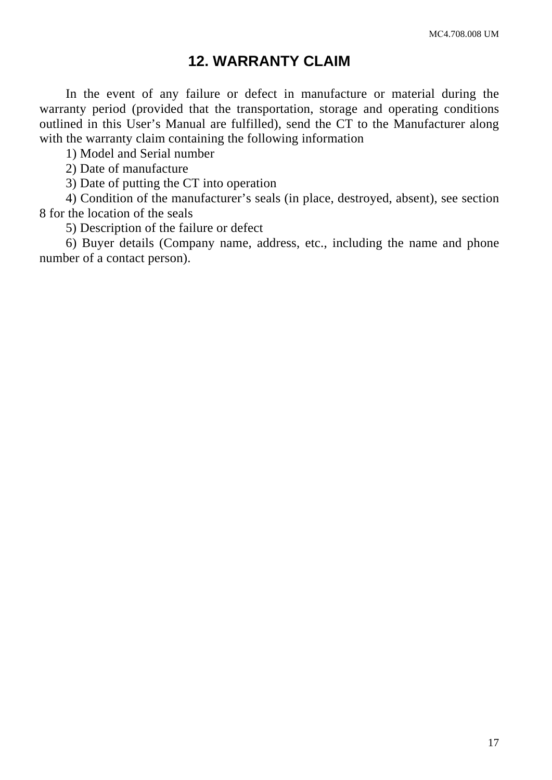### **12. WARRANTY CLAIM**

<span id="page-16-0"></span>In the event of any failure or defect in manufacture or material during the warranty period (provided that the transportation, storage and operating conditions outlined in this User's Manual are fulfilled), send the CT to the Manufacturer along with the warranty claim containing the following information

1) Model and Serial number

2) Date of manufacture

3) Date of putting the CT into operation

4) Condition of the manufacturer's seals (in place, destroyed, absent), see section 8 for the location of the seals

5) Description of the failure or defect

6) Buyer details (Company name, address, etc., including the name and phone number of a contact person).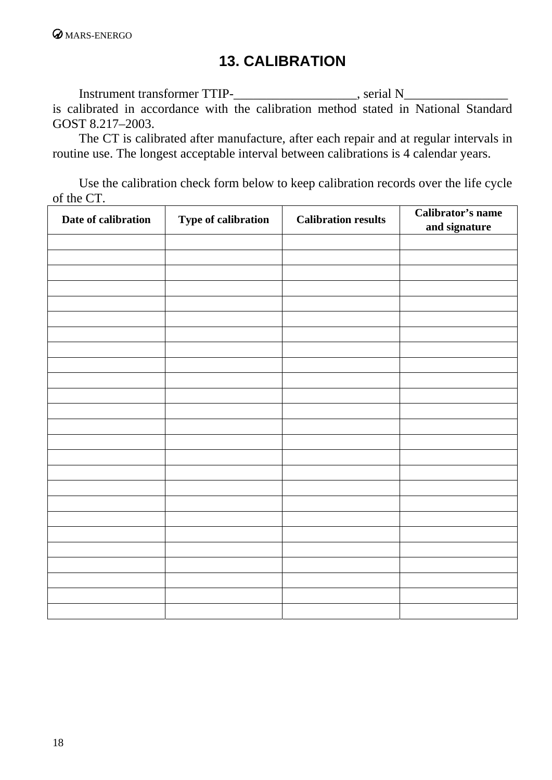## **13. CALIBRATION**

<span id="page-17-0"></span>Instrument transformer TTIP-\_\_\_\_\_\_\_\_\_\_\_\_\_\_\_\_\_\_\_, serial N\_\_\_\_\_\_\_\_\_\_\_\_\_\_\_\_\_\_\_\_\_\_\_ is calibrated in accordance with the calibration method stated in National Standard GOST 8.217–2003.

The CT is calibrated after manufacture, after each repair and at regular intervals in routine use. The longest acceptable interval between calibrations is 4 calendar years.

Use the calibration check form below to keep calibration records over the life cycle of the CT.

| Date of calibration | Type of calibration | <b>Calibration results</b> | Calibrator's name<br>and signature |
|---------------------|---------------------|----------------------------|------------------------------------|
|                     |                     |                            |                                    |
|                     |                     |                            |                                    |
|                     |                     |                            |                                    |
|                     |                     |                            |                                    |
|                     |                     |                            |                                    |
|                     |                     |                            |                                    |
|                     |                     |                            |                                    |
|                     |                     |                            |                                    |
|                     |                     |                            |                                    |
|                     |                     |                            |                                    |
|                     |                     |                            |                                    |
|                     |                     |                            |                                    |
|                     |                     |                            |                                    |
|                     |                     |                            |                                    |
|                     |                     |                            |                                    |
|                     |                     |                            |                                    |
|                     |                     |                            |                                    |
|                     |                     |                            |                                    |
|                     |                     |                            |                                    |
|                     |                     |                            |                                    |
|                     |                     |                            |                                    |
|                     |                     |                            |                                    |
|                     |                     |                            |                                    |
|                     |                     |                            |                                    |
|                     |                     |                            |                                    |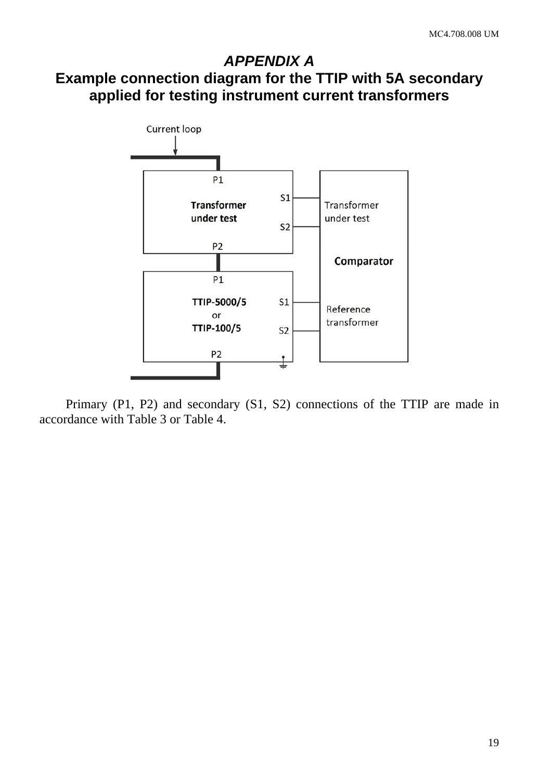### <span id="page-18-0"></span>*APPENDIX A* **Example connection diagram for the TTIP with 5A secondary applied for testing instrument current transformers**



Primary (P1, P2) and secondary (S1, S2) connections of the TTIP are made in accordance with Table 3 or Table 4.